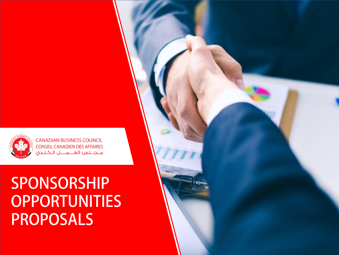## SPONSORSHIP **OPPORTUNITIES PROPOSALS**



**CANADIAN BUSINESS COUNCIL CONSEIL CANADIEN DES AFFAIRES** ملجلس العلاملا الكندي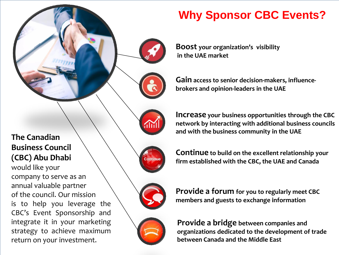**Boost your organization's visibility in the UAE market**

**Gain access to senior decision-makers, influencebrokers and opinion-leaders in the UAE**

**Why Sponsor CBC Events?**

**Increase your business opportunities through the CBC network by interacting with additional business councils and with the business community in the UAE**

**Continue to build on the excellent relationship your firm established with the CBC, the UAE and Canada**

**Provide a forum for you to regularly meet CBC members and guests to exchange information**



### **The Canadian Business Council (CBC) Abu Dhabi**

would like your company to serve as an annual valuable partner of the council. Our mission is to help you leverage the CBC's Event Sponsorship and integrate it in your marketing strategy to achieve maximum return on your investment.

Continue



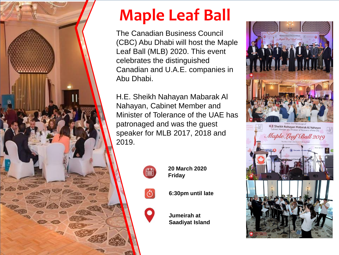

# **Maple Leaf Ball**

The Canadian Business Council (CBC) Abu Dhabi will host the Maple Leaf Ball (MLB) 2020. This event celebrates the distinguished Canadian and U.A.E. companies in Abu Dhabi.

H.E. Sheikh Nahayan Mabarak Al Nahayan, Cabinet Member and Minister of Tolerance of the UAE has patronaged and was the guest speaker for MLB 2017, 2018 and 2019.



 $\ddot{\circ}$ 

 $\bullet$ 

**20 March 2020 Friday**

**6:30pm until late**

**Jumeirah at Saadiyat Island**

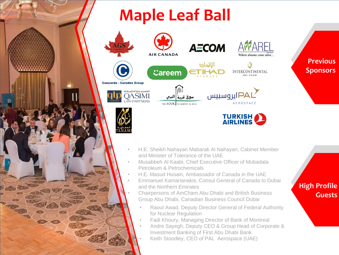### **Maple Leaf Ball**

''



**Previous Sponsors**

- H.E. Sheikh Nahayan Mabarak Al Nahayan, Cabinet Member and Minister of Tolerance of the UAE
- Musabbeh Al Kaabi, Chief Executive Officer of Mubadala Petroleum & Petrochemicals
	- H.E. Masud Husain, Ambassador of Canada in the UAE
- Emmanuel Kamarianakis, Consul General of Canada to Dubai and the Northern Emirates
	- Chairpersons of AmCham Abu Dhabi and British Business Group Abu Dhabi, Canadian Business Council Dubai
		- Raoul Awad, Deputy Director General of Federal Authority for Nuclear Regulation
		- Fadi Khoury, Managing Director of Bank of Montreal
		- Andre Sayegh, Deputy CEO & Group Head of Corporate & Investment Banking of First Abu Dhabi Bank • Keith Stoodley, CEO of PAL Aerospace (UAE)

#### **High Profile Guests**